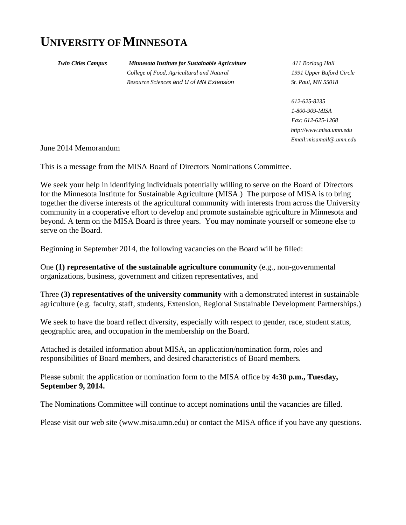# **UNIVERSITY OF MINNESOTA**

 *Twin Cities Campus Minnesota Institute for Sustainable Agriculture 411 Borlaug Hall College of Food, Agricultural and Natural 1991 Upper Buford Circle Resource Sciences and U of MN Extension St. Paul, MN 55018* 

 *612-625-8235 1-800-909-MISA Fax: 612-625-1268 http://www.misa.umn.edu Email:misamail@.umn.edu* 

June 2014 Memorandum

This is a message from the MISA Board of Directors Nominations Committee.

We seek your help in identifying individuals potentially willing to serve on the Board of Directors for the Minnesota Institute for Sustainable Agriculture (MISA.) The purpose of MISA is to bring together the diverse interests of the agricultural community with interests from across the University community in a cooperative effort to develop and promote sustainable agriculture in Minnesota and beyond. A term on the MISA Board is three years. You may nominate yourself or someone else to serve on the Board.

Beginning in September 2014, the following vacancies on the Board will be filled:

One **(1) representative of the sustainable agriculture community** (e.g., non-governmental organizations, business, government and citizen representatives, and

Three **(3) representatives of the university community** with a demonstrated interest in sustainable agriculture (e.g. faculty, staff, students, Extension, Regional Sustainable Development Partnerships.)

We seek to have the board reflect diversity, especially with respect to gender, race, student status, geographic area, and occupation in the membership on the Board.

Attached is detailed information about MISA, an application/nomination form, roles and responsibilities of Board members, and desired characteristics of Board members.

Please submit the application or nomination form to the MISA office by **4:30 p.m., Tuesday, September 9, 2014.**

The Nominations Committee will continue to accept nominations until the vacancies are filled.

Please visit our web site (www.misa.umn.edu) or contact the MISA office if you have any questions.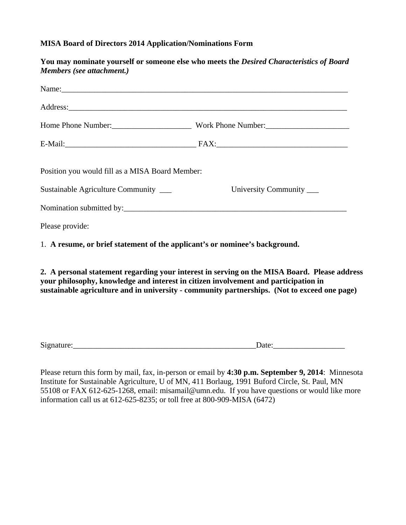## **MISA Board of Directors 2014 Application/Nominations Form**

| You may nominate yourself or someone else who meets the Desired Characteristics of Board                                                                                                                                                                                                                                                                           |
|--------------------------------------------------------------------------------------------------------------------------------------------------------------------------------------------------------------------------------------------------------------------------------------------------------------------------------------------------------------------|
| Name:                                                                                                                                                                                                                                                                                                                                                              |
| Address:                                                                                                                                                                                                                                                                                                                                                           |
|                                                                                                                                                                                                                                                                                                                                                                    |
|                                                                                                                                                                                                                                                                                                                                                                    |
| Position you would fill as a MISA Board Member:<br>University Community _____                                                                                                                                                                                                                                                                                      |
| 1. A resume, or brief statement of the applicant's or nominee's background.<br>2. A personal statement regarding your interest in serving on the MISA Board. Please address<br>your philosophy, knowledge and interest in citizen involvement and participation in<br>sustainable agriculture and in university - community partnerships. (Not to exceed one page) |
|                                                                                                                                                                                                                                                                                                                                                                    |

| $\sim \cdot$ |  |
|--------------|--|
|              |  |

Please return this form by mail, fax, in-person or email by **4:30 p.m. September 9, 2014**: Minnesota Institute for Sustainable Agriculture, U of MN, 411 Borlaug, 1991 Buford Circle, St. Paul, MN 55108 or FAX 612-625-1268, email: misamail@umn.edu. If you have questions or would like more information call us at 612-625-8235; or toll free at 800-909-MISA (6472)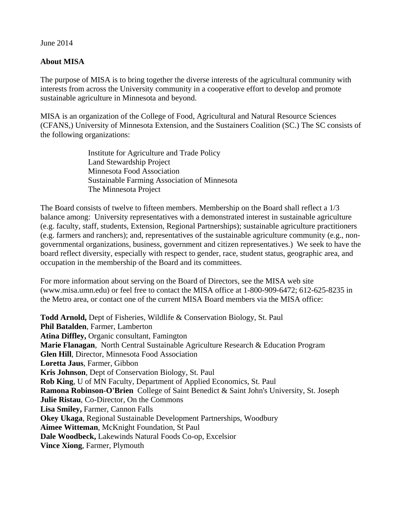## June 2014

## **About MISA**

The purpose of MISA is to bring together the diverse interests of the agricultural community with interests from across the University community in a cooperative effort to develop and promote sustainable agriculture in Minnesota and beyond.

MISA is an organization of the College of Food, Agricultural and Natural Resource Sciences (CFANS,) University of Minnesota Extension, and the Sustainers Coalition (SC.) The SC consists of the following organizations:

> Institute for Agriculture and Trade Policy Land Stewardship Project Minnesota Food Association Sustainable Farming Association of Minnesota The Minnesota Project

The Board consists of twelve to fifteen members. Membership on the Board shall reflect a 1/3 balance among: University representatives with a demonstrated interest in sustainable agriculture (e.g. faculty, staff, students, Extension, Regional Partnerships); sustainable agriculture practitioners (e.g. farmers and ranchers); and, representatives of the sustainable agriculture community (e.g., nongovernmental organizations, business, government and citizen representatives.) We seek to have the board reflect diversity, especially with respect to gender, race, student status, geographic area, and occupation in the membership of the Board and its committees.

For more information about serving on the Board of Directors, see the MISA web site (www.misa.umn.edu) or feel free to contact the MISA office at 1-800-909-6472; 612-625-8235 in the Metro area, or contact one of the current MISA Board members via the MISA office:

**Todd Arnold,** Dept of Fisheries, Wildlife & Conservation Biology, St. Paul **Phil Batalden**, Farmer, Lamberton **Atina Diffley,** Organic consultant, Famington **Marie Flanagan**, North Central Sustainable Agriculture Research & Education Program **Glen Hill**, Director, Minnesota Food Association **Loretta Jaus**, Farmer, Gibbon **Kris Johnson**, Dept of Conservation Biology, St. Paul **Rob King**, U of MN Faculty, Department of Applied Economics, St. Paul **Ramona Robinson-O'Brien** College of Saint Benedict & Saint John's University, St. Joseph **Julie Ristau**, Co-Director, On the Commons **Lisa Smiley,** Farmer, Cannon Falls **Okey Ukaga**, Regional Sustainable Development Partnerships, Woodbury **Aimee Witteman**, McKnight Foundation, St Paul **Dale Woodbeck,** Lakewinds Natural Foods Co-op, Excelsior **Vince Xiong**, Farmer, Plymouth